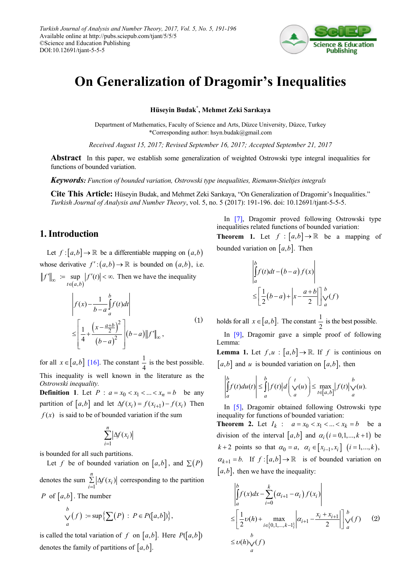

# **On Generalization of Dragomir's Inequalities**

**Hüseyin Budak\* , Mehmet Zeki Sarıkaya**

Department of Mathematics, Faculty of Science and Arts, Düzce University, Düzce, Turkey \*Corresponding author: hsyn.budak@gmail.com

*Received August 15, 2017; Revised September 16, 2017; Accepted September 21, 2017*

**Abstract** In this paper, we establish some generalization of weighted Ostrowski type integral inequalities for functions of bounded variation.

*Keywords: Function of bounded variation, Ostrowski type inequalities, Riemann-Stieltjes integrals*

**Cite This Article:** Hüseyin Budak, and Mehmet Zeki Sarıkaya, "On Generalization of Dragomir's Inequalities." *Turkish Journal of Analysis and Number Theory*, vol. 5, no. 5 (2017): 191-196. doi: 10.12691/tjant-5-5-5.

### **1. Introduction**

Let  $f: [a,b] \to \mathbb{R}$  be a differentiable mapping on  $(a,b)$ whose derivative  $f' : (a,b) \to \mathbb{R}$  is bounded on  $(a,b)$ , i.e.  $(a, b)$  $\therefore$  sup  $| f'(t) | < \infty$ .  $f''\|_{\infty} := \sup_{t \in (a,b)} |f'(t)| < \infty$ . Then we have the inequality

$$
\left| f(x) - \frac{1}{b-a} \int_{a}^{b} f(t) dt \right|
$$
  
\n
$$
\leq \left[ \frac{1}{4} + \frac{\left( x - \frac{a+b}{2} \right)^2}{\left( b-a \right)^2} \right] \left( b-a \right) ||f'||_{\infty},
$$
\n(1)

for all  $x \in [a, b]$  [\[16\].](#page-5-0) The constant  $\frac{1}{4}$  is the best possible. This inequality is well known in the literature as the

*Ostrowski inequality.* **Definition 1.** Let  $P : a = x_0 < x_1 < ... < x_n = b$  be any partition of  $[a, b]$  and let  $\Delta f(x_i) = f(x_{i+1}) - f(x_i)$  Then  $f(x)$  is said to be of bounded variation if the sum

$$
\sum_{i=1}^n \left| \Delta f(x_i) \right|
$$

is bounded for all such partitions.

Let *f* be of bounded variation on [ $a,b$ ], and  $\Sigma(P)$ 

denotes the sum 1  $\sum_{i=1}^n \left| \Delta f(x_i) \right|$ *f x* =  $\sum |\Delta f(x_i)|$  corresponding to the partition *P* of  $[a,b]$ . The number

$$
\bigvee_a^b(f) := \sup \left\{ \sum (P) : P \in P([a,b]) \right\},\
$$

is called the total variation of *f* on  $[a,b]$ . Here  $P([a,b])$ denotes the family of partitions of  $[a, b]$ .

In [\[7\],](#page-5-1) Dragomir proved following Ostrowski type inequalities related functions of bounded variation:

**Theorem 1.** Let  $f : [a,b] \to \mathbb{R}$  be a mapping of bounded variation on  $[a,b]$ . Then

$$
\begin{vmatrix} b \\ \int_a^b f(t)dt - (b-a) f(x) \\ \leq \left[ \frac{1}{2} (b-a) + \left| x - \frac{a+b}{2} \right| \right] \Big|_a^b f(t)
$$

holds for all  $x \in [a, b]$ . The constant  $\frac{1}{2}$  is the best possible.

In [\[9\],](#page-5-2) Dragomir gave a simple proof of following Lemma: **Lemma 1.** Let  $f, u : [a, b] \to \mathbb{R}$ . If f is continious on

 $[a,b]$  and *u* is bounded variation on  $[a,b]$ , then

$$
\left|\int_a^b f(t)du(t)\right| \leq \int_a^b |f(t)|d\left(\frac{t}{\sqrt{u}}\right) \leq \max_{t \in [a,b]} |f(t)| \sqrt{u}.
$$

In [\[5\],](#page-5-3) Dragomir obtained following Ostrowski type inequality for functions of bounded variation: **Theorem 2.** Let  $I_k$  :  $a = x_0 < x_1 < ... < x_k = b$  be a division of the interval  $[a,b]$  and  $\alpha_i$  ( $i = 0,1,..., k+1$ ) be *k* + 2 points so that  $\alpha_0 = a, \ \alpha_i \in [x_{i-1}, x_i]$   $(i = 1, ..., k)$ ,  $\alpha_{k+1} = b$ . If  $f:[a,b] \to \mathbb{R}$  is of bounded variation on  $[a, b]$ , then we have the inequality:

$$
\begin{aligned}\n&\left| \int_{a}^{b} f(x)dx - \sum_{i=0}^{k} (\alpha_{i+1} - \alpha_{i}) f(x_{i}) \right| \\
&\leq \left[ \frac{1}{2} \upsilon(h) + \max_{i \in \{0, 1, \dots, k-1\}} \left| \alpha_{i+1} - \frac{x_{i} + x_{i+1}}{2} \right| \right]_{a}^{b} \vee f \vee (2) \\
&\leq \upsilon(h)\sqrt{\frac{b}{a}}\n\end{aligned}
$$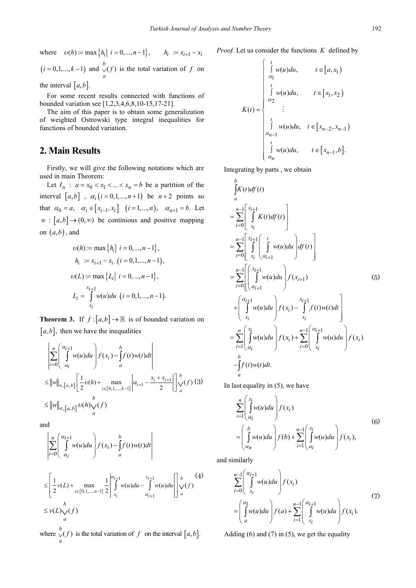where  $v(h) := \max\{h_i | i = 0, ..., n-1\}, \qquad h_i := x_{i+1} - x_i$  $(i = 0, 1, ..., k - 1)$  and  $\bigvee^b(f)$ *a*  $\vee$  *y*(*f*) is the total variation of *f* on

the interval  $[a, b]$ .

For some recent results connected with functions of bounded variation see [1,2,3,4,6,8,10-15,17-21].

The aim of this paper is to obtain some generalization of weighted Ostrowski type integral inequalities for functions of bounded variation.

#### **2. Main Results**

Firstly, we will give the following notations which are used in main Theorem:

Let  $I_n$  :  $a = x_0 < x_1 < ... < x_n = b$  be a partition of the interval  $[a,b]$ ,  $\alpha_i$  ( $i = 0,1,...,n+1$ ) be  $n+2$  points so that  $\alpha_0 = a, \quad \alpha_i \in [x_{i-1}, x_i] \quad (i = 1, ..., n), \quad \alpha_{n+1} = b$ . Let  $w : [a, b] \rightarrow (0, \infty)$  be continious and positive mapping on  $(a,b)$ , and

$$
v(h) := \max \{ h_i | i = 0, ..., n-1 \},
$$
  
\n
$$
h_i := x_{i+1} - x_i (i = 0, 1, ..., n-1),
$$
  
\n
$$
v(L) := \max \{ L_i | i = 0, ..., n-1 \},
$$
  
\n
$$
L_i = \int_{x_i}^{x_{i+1}} w(u) du (i = 0, 1, ..., n-1).
$$

**Theorem 3.** If  $f:[a,b] \to \mathbb{R}$  is of bounded variation on  $[a, b]$ , then we have the inequalities

$$
\left| \sum_{i=0}^{n} \left( \int_{\alpha_{i}}^{\alpha_{i+1}} w(u) du \right) f(x_{i}) - \int_{a}^{b} f(t)w(t) dt \right|
$$
  
\n
$$
\leq ||w||_{\infty, [a,b]} \left[ \frac{1}{2} \nu(h) + \max_{i \in \{0,1,\ldots,k-1\}} \left| \alpha_{i+1} - \frac{x_{i} + x_{i+1}}{2} \right| \right]_{a}^{b} \nu(f)
$$
 (3)  
\n
$$
\leq ||w||_{\infty, [a,b]} \nu(h) \sqrt{\frac{b}{a}}
$$

and

$$
\left|\sum_{i=0}^n \left(\int_{\alpha_i}^{\alpha_{i+1}} w(u) du\right) f(x_i) - \int_a^b f(t) w(t) dt\right|
$$

$$
\leq \left[\frac{1}{2}\nu(L) + \max_{i \in \{0, 1, \dots, n-1\}} \frac{1}{2} \left| \int_{x_i}^{\alpha_{i+1}} w(u) du - \int_{\alpha_{i+1}}^{x_{i+1}} w(u) du \right| \right]_{a}^{b} \vee f
$$
\n
$$
\leq \nu(L)\sqrt{(f)}
$$

where  $\bigvee^b(f)$ *a*  $\vee$  *f*) is the total variation of *f* on the interval  $[a, b]$ . *Proof.* Let us consider the functions *K* defined by

$$
K(t) = \begin{cases} \int_{a_1}^t w(u) du, & t \in [a, x_1) \\ \int_{a_2}^t w(u) du, & t \in [x_1, x_2) \\ \vdots \\ \int_{a_{n-1}}^t w(u) du, & t \in [x_{n-2}, x_{n-1}) \\ \int_{a_{n-1}}^t w(u) du, & t \in [x_{n-1}, b]. \end{cases}
$$

Integrating by parts , we obtain

$$
\int_{a}^{b} K(t) df(t)
$$
\n
$$
= \sum_{i=0}^{n-1} \left[ \int_{x_{i}}^{x_{i+1}} K(t) df(t) \right]
$$
\n
$$
= \sum_{i=0}^{n-1} \left[ \int_{x_{i}}^{x_{i+1}} \left( \int_{\alpha_{i+1}}^{t} w(u) du \right) df(t) \right]
$$
\n
$$
= \sum_{i=0}^{n-1} \left[ \left( \int_{\alpha_{i+1}}^{x_{i+1}} w(u) du \right) f(x_{i+1}) \right]
$$
\n
$$
+ \left( \int_{x_{i}}^{\alpha_{i+1}} w(u) du \right) f(x_{i}) - \int_{x_{i}}^{x_{i+1}} f(t) w(t) dt \right]
$$
\n
$$
= \sum_{i=1}^{n} \left( \int_{\alpha_{i}}^{x_{i}} w(u) du \right) f(x_{i}) + \sum_{i=0}^{n-1} \left( \int_{x_{i}}^{x_{i+1}} w(u) du \right) f(x_{i})
$$
\n
$$
- \int_{a}^{b} f(t) w(t) dt.
$$

In last equality in (5), we have

$$
\sum_{i=1}^{n} \left( \int_{\alpha_i}^{x_i} w(u) du \right) f(x_i)
$$
\n
$$
= \left( \int_{\alpha_n}^{b} w(u) du \right) f(b) + \sum_{i=1}^{n-1} \left( \int_{\alpha_i}^{x_i} w(u) du \right) f(x_i),
$$
\n(6)

and similarly

$$
\sum_{i=0}^{n-1} \left( \int_{x_i}^{\alpha_{i+1}} w(u) du \right) f(x_i)
$$
\n
$$
= \left( \int_a^{\alpha_1} w(u) du \right) f(a) + \sum_{i=1}^{n-1} \left( \int_{x_i}^{\alpha_{i+1}} w(u) du \right) f(x_i).
$$
\n(7)

Adding  $(6)$  and  $(7)$  in  $(5)$ , we get the equality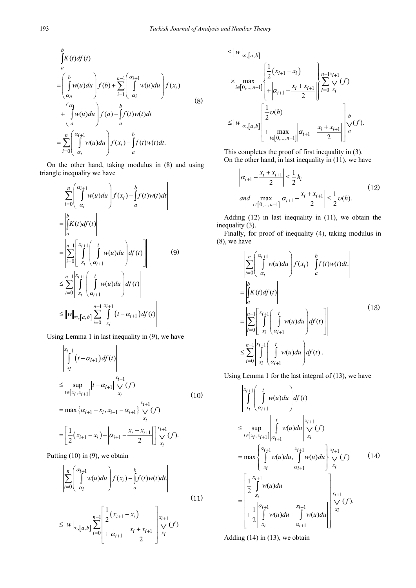$$
\int_{a}^{b} K(t)df(t)
$$
\n
$$
= \left(\int_{\alpha_{n}}^{b} w(u)du\right) f(b) + \sum_{i=1}^{n-1} \left(\int_{\alpha_{i}}^{\alpha_{i+1}} w(u)du\right) f(x_{i})
$$
\n
$$
+ \left(\int_{a}^{\alpha_{1}} w(u)du\right) f(a) - \int_{a}^{b} f(t)w(t)dt
$$
\n
$$
= \sum_{i=0}^{n} \left(\int_{\alpha_{i}}^{\alpha_{i+1}} w(u)du\right) f(x_{i}) - \int_{a}^{b} f(t)w(t)dt.
$$
\n(8)

On the other hand, taking modulus in (8) and using triangle inequality we have

$$
\begin{aligned}\n&\left|\sum_{i=0}^{n}\left(\int_{\alpha_{i}}^{\alpha_{i+1}}w(u)du\right)f(x_{i})-\int_{a}^{b}f(t)w(t)dt\right| \\
&=\left|\int_{a}^{b}K(t)df(t)\right| \\
&=\left|\sum_{i=0}^{n-1}\left[\int_{x_{i}}^{x_{i+1}}\left(\int_{\alpha_{i+1}}^{t}w(u)du\right)df(t)\right]\right| \\
&\leq \sum_{i=0}^{n-1}\left|\int_{x_{i}}^{x_{i+1}}\left(\int_{\alpha_{i+1}}^{t}w(u)du\right)df(t)\right| \\
&\leq \|w\|_{\infty,[a,b]}\sum_{i=0}^{n-1}\left|\int_{x_{i}}^{x_{i+1}}(t-\alpha_{i+1})df(t)\right|\n\end{aligned}
$$

Using Lemma 1 in last inequality in (9), we have

$$
\begin{aligned}\n\left| \int_{x_i}^{x_{i+1}} (t - \alpha_{i+1}) df(t) \right| \\
&\leq \sup_{t \in [x_i, x_{i+1}]} |t - \alpha_{i+1}| \bigvee_{x_i}^{x_{i+1}} (f) \\
&= \max \{ \alpha_{i+1} - x_i, x_{i+1} - \alpha_{i+1} \} \bigvee_{x_i}^{x_{i+1}} (f) \\
&= \left[ \frac{1}{2} (x_{i+1} - x_i) + \left| \alpha_{i+1} - \frac{x_i + x_{i+1}}{2} \right| \bigvee_{x_i}^{x_{i+1}} (f).\n\end{aligned}
$$

Putting  $(10)$  in  $(9)$ , we obtain

$$
\left| \sum_{i=0}^{n} \left( \int_{\alpha_i}^{\alpha_{i+1}} w(u) du \right) f(x_i) - \int_{a}^{b} f(t) w(t) dt \right|
$$
\n(11)

$$
\leq ||w||_{\infty, [a,b]} \sum_{i=0}^{n-1} \left[ \frac{\frac{1}{2} (x_{i+1} - x_i)}{+\left| \alpha_{i+1} - \frac{x_i + x_{i+1}}{2} \right|} \right] \begin{cases} x_{i+1} \\ \vee f(x) \\ x_i \end{cases}
$$

$$
\leq ||w||_{\infty,[a,b]} \leq ||w||_{\infty,[a,b]} \leq ||w||_{\infty,[a,b]} \leq \frac{\left|\frac{1}{2}(x_{i+1} - x_i) - x_{i+1}\right|}{\left| \frac{1}{2}(x_{i+1} - x_i + x_{i+1})\right|} \leq \sum_{i=0}^{n-1} \frac{x_i}{x_i} (f) \leq ||w||_{\infty,[a,b]} \leq \frac{\left|\frac{1}{2} \nu(h) - x_i\right|}{\left|\frac{1}{2} \nu(h) + x_{i+1}\right|} \leq \frac{x_i}{\left|\frac{1}{2} \nu(h) + x_{i+1}\right|} \leq \frac{x_i}{\left|\frac{1}{2} \nu(h) + x_{i+1}\right|} \leq \frac{x_i}{\left|\frac{1}{2} \nu(h) + x_{i+1}\right|} \leq \frac{x_i}{\left|\frac{1}{2} \nu(h) + x_{i+1}\right|} \leq \frac{x_i}{\left|\frac{1}{2} \nu(h) + x_{i+1}\right|} \leq \frac{x_i}{\left|\frac{1}{2} \nu(h) + x_{i+1}\right|} \leq \frac{x_i}{\left|\frac{1}{2} \nu(h) + x_{i+1}\right|} \leq \frac{x_i}{\left|\frac{1}{2} \nu(h) + x_{i+1}\right|} \leq \frac{x_i}{\left|\frac{1}{2} \nu(h) + x_{i+1}\right|} \leq \frac{x_i}{\left|\frac{1}{2} \nu(h) + x_{i+1}\right|} \leq \frac{x_i}{\left|\frac{1}{2} \nu(h) + x_{i+1}\right|} \leq \frac{x_i}{\left|\frac{1}{2} \nu(h) + x_{i+1}\right|} \leq \frac{x_i}{\left|\frac{1}{2} \nu(h) + x_{i+1}\right|} \leq \frac{x_i}{\left|\frac{1}{2} \nu(h) + x_{i+1}\right|} \leq \frac{x_i}{\left|\frac{1}{2} \nu(h) + x_{i+1}\right|} \leq \frac{x_i}{\left|\frac{1}{2} \nu(h) + x_{i+1}\right|} \leq \frac{x_i}{\left|\frac{1}{2} \nu(h) + x_{i+1}\right|} \leq \frac{x_i}{\left|\frac{1}{2} \nu(h) + x_{i+1}\right|} \leq \frac{x_i}{
$$

This completes the proof of first inequality in (3). On the other hand, in last inequality in (11), we have

$$
\left| \alpha_{i+1} - \frac{x_i + x_{i+1}}{2} \right| \le \frac{1}{2} h_i
$$
  
and 
$$
\max_{i \in [0, ..., n-1]} \left| \alpha_{i+1} - \frac{x_i + x_{i+1}}{2} \right| \le \frac{1}{2} \upsilon(h).
$$
 (12)

Adding (12) in last inequality in (11), we obtain the inequality (3).

Finally, for proof of inequality (4), taking modulus in (8), we have

$$
\begin{aligned}\n&\left|\sum_{i=0}^{n}\left(\int_{\alpha_{i}}^{\alpha_{i+1}}w(u)du\right)f(x_{i})-\int_{a}^{b}f(t)w(t)dt\right| \\
&=\left|\int_{a}^{b}K(t)df(t)\right| \\
&=\left|\sum_{i=0}^{n-1}\left[\int_{x_{i}}^{x_{i+1}}\left(\int_{\alpha_{i+1}}^{t}w(u)du\right)df(t)\right]\right| \\
&\leq \sum_{i=0}^{n-1}\left|\int_{x_{i}}^{x_{i+1}}\left(\int_{\alpha_{i+1}}^{t}w(u)du\right)df(t)\right|.\n\end{aligned} \tag{13}
$$

Using Lemma 1 for the last integral of (13), we have

$$
\begin{aligned}\n\begin{vmatrix}\nx_{i+1} \\
\int_{x_i}^{t} \left( \int_{\alpha_{i+1}}^t w(u) du \right) df(t) \\
\leq \sup_{t \in [x_i, x_{i+1}]} \left| \int_{\alpha_{i+1}}^t w(u) du \right|_{x_i}^{x_{i+1}} \sqrt{(f)} \\
= \max \begin{cases}\n\frac{\alpha_{i+1}}{t} & x_{i+1} \\
\int_{x_i}^{x_{i+1}} w(u) du, \int_{\alpha_{i+1}}^t w(u) du \end{cases} \begin{cases}\nx_{i+1} \\
\sqrt{(f)} \\
x_i\n\end{cases} \\
= \left[ \frac{1}{2} \int_{x_i}^{x_{i+1}} w(u) du \right]_{x_i}^{x_{i+1}} \begin{cases}\nx_{i+1} \\
\frac{1}{2} \int_{x_i}^{|\alpha_{i+1}} w(u) du - \int_{\alpha_{i+1}}^{x_{i+1}} w(u) du \end{cases} \begin{cases}\nx_{i+1} \\
\sqrt{(f)}\n\end{cases}.\n\end{aligned} (14)
$$

Adding (14) in (13), we obtain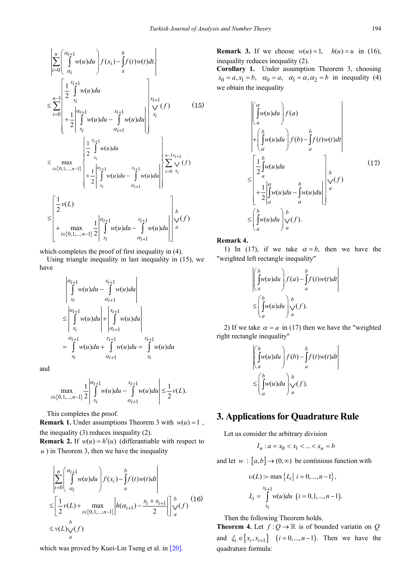$$
\left| \sum_{i=0}^{n} \left( \int_{\alpha_{i}}^{\alpha_{i+1}} w(u) du \right) f(x_{i}) - \int_{a}^{b} f(t) w(t) dt \right|
$$
\n
$$
\leq \sum_{i=0}^{n-1} \left[ \frac{1}{2} \int_{x_{i}}^{x_{i+1}} w(u) du \right] + \frac{1}{2} \left| \int_{x_{i}}^{\alpha_{i+1}} w(u) du - \int_{\alpha_{i+1}}^{x_{i+1}} w(u) du \right| \right] \times \left| \int_{x_{i}}^{x_{i+1}} f(t) dx \right|
$$
\n
$$
\leq \max_{i \in \{0, 1, \ldots, n-1\}} \left| \frac{1}{2} \int_{x_{i}}^{x_{i+1}} w(u) du \right| + \frac{1}{2} \left| \int_{x_{i}}^{x_{i+1}} w(u) du - \int_{\alpha_{i+1}}^{x_{i+1}} w(u) du \right| \left| \sum_{i=0}^{n-1} \int_{x_{i}}^{x_{i+1}} f(t) dx \right|
$$
\n
$$
\leq \left[ \frac{1}{2} v(L) \right] + \max_{i \in \{0, 1, \ldots, n-1\}} \frac{1}{2} \left| \int_{x_{i}}^{\alpha_{i+1}} w(u) du - \int_{\alpha_{i+1}}^{x_{i+1}} w(u) du \right| \right|^{b} \times \left| f(t) \right|
$$

which completes the proof of first inequality in (4).

Using triangle inequality in last inequality in (15), we have

$$
\begin{vmatrix} a_{i+1} & x_{i+1} \\ \int_{x_i} w(u) du - \int_{\alpha_{i+1}} w(u) du \\ \leq \left| \int_{x_i}^{\alpha_{i+1}} w(u) du \right| + \left| \int_{\alpha_{i+1}}^{x_{i+1}} w(u) du \right| \\ = \int_{x_i}^{\alpha_{i+1}} w(u) du + \int_{\alpha_{i+1}}^{x_{i+1}} w(u) du = \int_{x_i}^{x_{i+1}} w(u) du
$$

and

$$
\max_{i \in \{0, 1, \dots, n-1\}} \frac{1}{2} \left| \int_{x_i}^{a_{i+1}} w(u) du - \int_{a_{i+1}}^{x_{i+1}} w(u) du \right| \leq \frac{1}{2} \nu(L).
$$

This completes the proof.

**Remark 1.** Under assumptions Theorem 3 with  $w(u) = 1$ , the inequality (3) reduces inequality (2).

**Remark 2.** If  $w(u) = h'(u)$  (differantiable with respect to *) in Theorem 3, then we have the inequality* 

$$
\left| \sum_{i=0}^{n} \left( \int_{\alpha_i}^{\alpha_{i+1}} w(u) du \right) f(x_i) - \int_a^b f(t)w(t) dt \right|
$$
  
\n
$$
\leq \left[ \frac{1}{2} v(L) + \max_{i \in \{0, 1, \dots, n-1\}} \left| h(\alpha_{i+1}) - \frac{x_i + x_{i+1}}{2} \right| \right]_a^b \vee f(t)
$$
  
\n
$$
\leq v(L) \vee f(t)
$$

which was proved by Kuei-Lin Tseng et al. in [\[20\].](#page-5-4)

**Remark 3.** If we choose  $w(u) = 1$ ,  $h(u) = u$  in (16), inequality reduces inequality (2).

**Corollary 1.** Under assumption Theorem 3, choosing  $x_0 = a, x_1 = b, \quad \alpha_0 = a, \quad \alpha_1 = \alpha, \alpha_2 = b \text{ in inequality (4)}$ we obtain the inequality

$$
\begin{aligned}\n&\left(\int_{a}^{\alpha} w(u) du\right) f(a) \\
&+ \left(\int_{\alpha}^{b} w(u) du\right) f(b) - \int_{a}^{b} f(t) w(t) dt \\
&\leq \left[\frac{1}{2} \int_{a}^{b} w(u) du\right]_{a}^{b} \\
&+ \frac{1}{2} \left|\int_{a}^{\alpha} w(u) du - \int_{\alpha}^{b} w(u) du\right|_{a}^{b} \\
&\leq \left(\int_{a}^{b} w(u) du\right) \int_{\alpha}^{b} f(t).\n\end{aligned}
$$
\n(17)

**Remark 4.** 

1) In (17), if we take  $\alpha = b$ , then we have the "weighted left rectangle inequality"

$$
\begin{aligned} &\left(\int_a^b w(u) du\right) f(a) - \int_a^b f(t)w(t) dt \\ &\le \left(\int_a^b w(u) du\right) \bigvee_a^b (f). \end{aligned}
$$

2) If we take  $\alpha = a$  in (17) then we have the "weighted right rectangle inequality"

$$
\begin{aligned} &\left| \int_{a}^{b} w(u) du \right| f(b) - \int_{a}^{b} f(t)w(t) dt \right| \\ &\leq \left( \int_{a}^{b} w(u) du \right) \int_{a}^{b} f(t) .\end{aligned}
$$

## **3. Applications for Quadrature Rule**

Let us consider the arbitrary division

$$
I_n : a = x_0 < x_1 < \dots < x_n = b
$$

and let  $w : [a,b] \rightarrow (0,\infty)$  be continious function with

$$
v(L) := \max \{ L_i | i = 0, ..., n-1 \},
$$
  

$$
L_i = \int_{x_i}^{x_{i+1}} w(u) du \ (i = 0, 1, ..., n-1).
$$

Then the following Theorem holds.

**Theorem 4.** Let  $f: Q \to \mathbb{R}$  is of bounded variatin on *Q* and  $\xi_i \in [x_i, x_{i+1}]$   $(i = 0, ..., n-1)$ . Then we have the quadrature formula: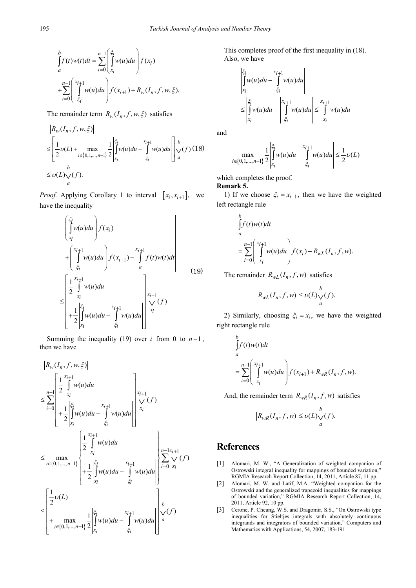$$
\int_{a}^{b} f(t)w(t)dt = \sum_{i=0}^{n-1} \left( \int_{x_{i}}^{\xi_{i}} w(u)du \right) f(x_{i})
$$
\n
$$
+ \sum_{i=0}^{n-1} \left( \int_{\xi_{i}}^{x_{i+1}} w(u)du \right) f(x_{i+1}) + R_{w}(I_{n}, f, w, \xi).
$$

The remainder term  $R_w(I_n, f, w, \xi)$  satisfies

$$
\begin{aligned} &\left| R_w(I_n, f, w, \xi) \right| \\ &\leq \left[ \frac{1}{2} \upsilon(L) + \max_{i \in \{0, 1, \dots, n-1\}} \frac{1}{2} \left| \int_{x_i}^{\xi_i} w(u) du - \int_{\xi_i}^{x_{i+1}} w(u) du \right| \right] \underset{a}{\downarrow} \upsilon(f) \ (18) \\ &\leq \upsilon(L) \underset{a}{\vee} (f). \end{aligned}
$$

*Proof.* Applying Corollary 1 to interval  $[x_i, x_{i+1}]$ , we have the inequality

$$
\begin{aligned}\n&\left\{\begin{bmatrix} \xi_i \\ \int w(u) du \\ x_i \end{bmatrix} f(x_i) \right. \\
&+ \left\{\begin{bmatrix} x_{i+1} \\ \int u(u) du \\ \xi_i \end{bmatrix} f(x_{i+1}) - \int_a^{x_{i+1}} f(t) w(t) dt \right\} \\
&\leq \begin{bmatrix} \frac{1}{2} \int_a^{x_{i+1}} w(u) du \\ x_i \\ + \frac{1}{2} \int_{x_i}^{x_i} w(u) du - \int_a^{x_{i+1}} w(u) du \end{bmatrix} \begin{bmatrix} x_{i+1} \\ y(t) \\ x_i \end{bmatrix}\n\end{aligned} \tag{19}
$$

Summing the inequality (19) over *i* from 0 to  $n-1$ , then we have

$$
|R_{w}(I_{n},f,w,\xi)|
$$
\n
$$
\leq \sum_{i=0}^{n-1} \left[ \frac{1}{2} \int_{x_{i}}^{x_{i+1}} w(u) du - \int_{\xi_{i}}^{x_{i+1}} w(u) du \right]_{x_{i}}^{x_{i+1}}
$$
\n
$$
\leq \sum_{i=0}^{n-1} \left( \frac{1}{2} \int_{x_{i}}^{x_{i+1}} w(u) du - \int_{\xi_{i}}^{x_{i+1}} w(u) du \right) \right]_{x_{i}}^{x_{i+1}}
$$
\n
$$
\leq \max_{i \in \{0,1,...,n-1\}} \left\{ \frac{1}{2} \int_{x_{i}}^{x_{i+1}} w(u) du - \int_{\xi_{i}}^{x_{i+1}} w(u) du \right\} \left\{ \sum_{i=0}^{n-1} \int_{x_{i}}^{x_{i+1}} f(f) du \right\}
$$
\n
$$
\leq \left[ \frac{1}{2} \nu(L) - \int_{\xi_{i}}^{x_{i+1}} w(u) du - \int_{\xi_{i}}^{x_{i+1}} w(u) du \right]_{x_{i}}^{x_{i+1}}
$$
\n
$$
\leq \left[ \frac{1}{2} \nu(L) - \int_{\xi_{i}}^{x_{i+1}} w(u) du - \int_{\xi_{i}}^{x_{i+1}} w(u) du \right]_{x_{i}}^{x_{i+1}}
$$

This completes proof of the first inequality in (18). Also, we have

$$
\begin{aligned} &\left| \int\limits_{x_i}^{\xi_i} w(u) du - \int\limits_{\xi_i}^{x_{i+1}} w(u) du \right| \\ &\leq \left| \int\limits_{x_i}^{\xi_i} w(u) du \right| + \left| \int\limits_{\xi_i}^{x_{i+1}} w(u) du \right| \leq \int\limits_{x_i}^{x_{i+1}} w(u) du \end{aligned}
$$

and

$$
\max_{i \in \{0, 1, \dots, n-1\}} \frac{1}{2} \left| \int_{x_i}^{\xi_i} w(u) du - \int_{\xi_i}^{x_{i+1}} w(u) du \right| \le \frac{1}{2} \nu(L)
$$

 $\overline{1}$ 

which completes the proof.

**Remark 5.**

1) If we choose  $\xi_i = x_{i+1}$ , then we have the weighted left rectangle rule

$$
\int_{a}^{b} f(t)w(t)dt
$$
\n
$$
= \sum_{i=0}^{n-1} \left( \int_{x_i}^{x_{i+1}} w(u)du \right) f(x_i) + R_{wL}(I_n, f, w).
$$

The remainder  $R_{wL}(I_n, f, w)$  satisfies

$$
\left|R_{wL}(I_n,f,w)\right|\leq \upsilon(L){\underset{a}{\vee}}(f).
$$

2) Similarly, choosing  $\xi_i = x_i$ , we have the weighted right rectangle rule

$$
\int_{a}^{b} f(t)w(t)dt
$$
\n
$$
= \sum_{i=0}^{n-1} \left( \int_{x_i}^{x_{i+1}} w(u)du \right) f(x_{i+1}) + R_{wR}(I_n, f, w).
$$

And, the remainder term  $R_{wR}(I_n, f, w)$  satisfies

$$
\left|R_{wR}(I_n, f, w)\right| \le \nu(L)\bigvee_a^b(f).
$$

## **References**

- [1] Alomari, M. W., "A Generalization of weighted companion of Ostrowski integral inequality for mappings of bounded variation," RGMIA Research Report Collection, 14, 2011, Article 87, 11 pp.
- [2] Alomari, M. W. and Latif, M.A. "Weighted companion for the Ostrowski and the generalized trapezoid inequalities for mappings of bounded variation," RGMIA Research Report Collection, 14, 2011, Article 92, 10 pp.
- [3] Cerone, P. Cheung, W.S. and Dragomir, S.S., "On Ostrowski type inequalities for Stieltjes integrals with absolutely continuous integrands and integrators of bounded variation," Computers and Mathematics with Applications, 54, 2007, 183-191.